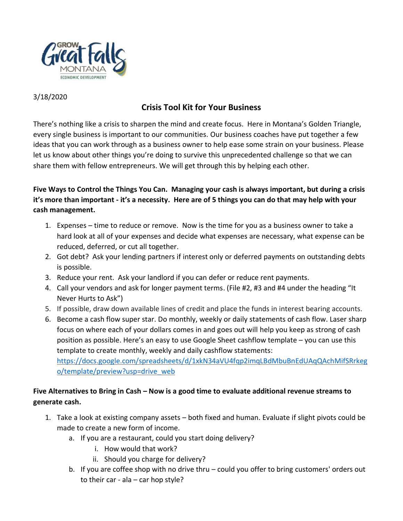

### 3/18/2020

# **Crisis Tool Kit for Your Business**

There's nothing like a crisis to sharpen the mind and create focus. Here in Montana's Golden Triangle, every single business is important to our communities. Our business coaches have put together a few ideas that you can work through as a business owner to help ease some strain on your business. Please let us know about other things you're doing to survive this unprecedented challenge so that we can share them with fellow entrepreneurs. We will get through this by helping each other.

**Five Ways to Control the Things You Can. Managing your cash is always important, but during a crisis it's more than important - it's a necessity. Here are of 5 things you can do that may help with your cash management.** 

- 1. Expenses time to reduce or remove. Now is the time for you as a business owner to take a hard look at all of your expenses and decide what expenses are necessary, what expense can be reduced, deferred, or cut all together.
- 2. Got debt? Ask your lending partners if interest only or deferred payments on outstanding debts is possible.
- 3. Reduce your rent. Ask your landlord if you can defer or reduce rent payments.
- 4. Call your vendors and ask for longer payment terms. (File #2, #3 and #4 under the heading "It Never Hurts to Ask")
- 5. If possible, draw down available lines of credit and place the funds in interest bearing accounts.
- 6. Become a cash flow super star. Do monthly, weekly or daily statements of cash flow. Laser sharp focus on where each of your dollars comes in and goes out will help you keep as strong of cash position as possible. Here's an easy to use Google Sheet cashflow template – you can use this template to create monthly, weekly and daily cashflow statements: [https://docs.google.com/spreadsheets/d/1xkN34aVU4fqp2imqLBdMbuBnEdUAqQAchMifSRrkeg](https://docs.google.com/spreadsheets/d/1xkN34aVU4fqp2imqLBdMbuBnEdUAqQAchMifSRrkego/template/preview?usp=drive_web) [o/template/preview?usp=drive\\_web](https://docs.google.com/spreadsheets/d/1xkN34aVU4fqp2imqLBdMbuBnEdUAqQAchMifSRrkego/template/preview?usp=drive_web)

# **Five Alternatives to Bring in Cash – Now is a good time to evaluate additional revenue streams to generate cash.**

- 1. Take a look at existing company assets both fixed and human. Evaluate if slight pivots could be made to create a new form of income.
	- a. If you are a restaurant, could you start doing delivery?
		- i. How would that work?
		- ii. Should you charge for delivery?
	- b. If you are coffee shop with no drive thru could you offer to bring customers' orders out to their car - ala  $-$  car hop style?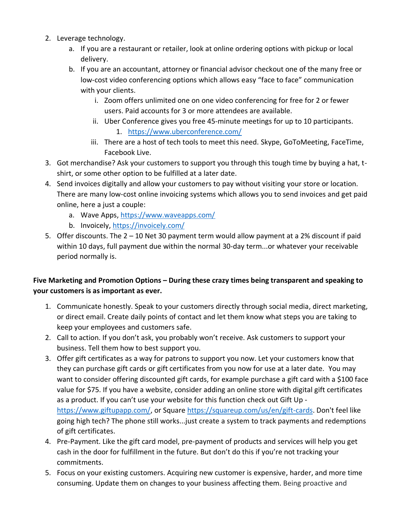- 2. Leverage technology.
	- a. If you are a restaurant or retailer, look at online ordering options with pickup or local delivery.
	- b. If you are an accountant, attorney or financial advisor checkout one of the many free or low-cost video conferencing options which allows easy "face to face" communication with your clients.
		- i. Zoom offers unlimited one on one video conferencing for free for 2 or fewer users. Paid accounts for 3 or more attendees are available.
		- ii. Uber Conference gives you free 45-minute meetings for up to 10 participants. 1. <https://www.uberconference.com/>
		- iii. There are a host of tech tools to meet this need. Skype, GoToMeeting, FaceTime, Facebook Live.
- 3. Got merchandise? Ask your customers to support you through this tough time by buying a hat, tshirt, or some other option to be fulfilled at a later date.
- 4. Send invoices digitally and allow your customers to pay without visiting your store or location. There are many low-cost online invoicing systems which allows you to send invoices and get paid online, here a just a couple:
	- a. Wave Apps,<https://www.waveapps.com/>
	- b. Invoicely,<https://invoicely.com/>
- 5. Offer discounts. The 2 10 Net 30 payment term would allow payment at a 2% discount if paid within 10 days, full payment due within the normal 30-day term...or whatever your receivable period normally is.

## **Five Marketing and Promotion Options – During these crazy times being transparent and speaking to your customers is as important as ever.**

- 1. Communicate honestly. Speak to your customers directly through social media, direct marketing, or direct email. Create daily points of contact and let them know what steps you are taking to keep your employees and customers safe.
- 2. Call to action. If you don't ask, you probably won't receive. Ask customers to support your business. Tell them how to best support you.
- 3. Offer gift certificates as a way for patrons to support you now. Let your customers know that they can purchase gift cards or gift certificates from you now for use at a later date. You may want to consider offering discounted gift cards, for example purchase a gift card with a \$100 face value for \$75. If you have a website, consider adding an online store with digital gift certificates as a product. If you can't use your website for this function check out Gift Up [https://www.giftupapp.com/,](https://www.giftupapp.com/) or Square [https://squareup.com/us/en/gift-cards.](https://squareup.com/us/en/gift-cards) Don't feel like going high tech? The phone still works...just create a system to track payments and redemptions of gift certificates.
- 4. Pre-Payment. Like the gift card model, pre-payment of products and services will help you get cash in the door for fulfillment in the future. But don't do this if you're not tracking your commitments.
- 5. Focus on your existing customers. Acquiring new customer is expensive, harder, and more time consuming. Update them on changes to your business affecting them. Being proactive and